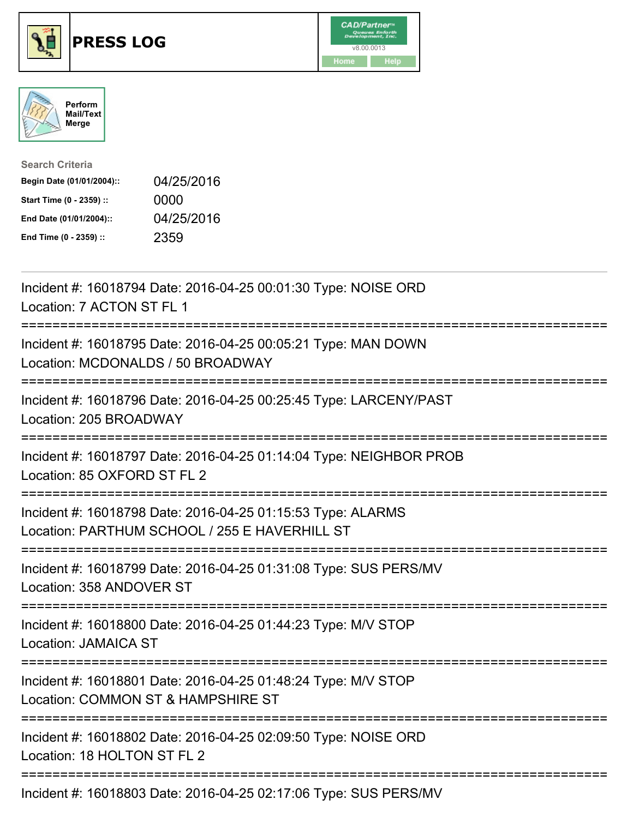





| <b>Search Criteria</b>    |            |
|---------------------------|------------|
| Begin Date (01/01/2004):: | 04/25/2016 |
| Start Time (0 - 2359) ::  | 0000       |
| End Date (01/01/2004)::   | 04/25/2016 |
| End Time (0 - 2359) ::    | 2359       |

| Incident #: 16018794 Date: 2016-04-25 00:01:30 Type: NOISE ORD<br>Location: 7 ACTON ST FL 1                                                                              |
|--------------------------------------------------------------------------------------------------------------------------------------------------------------------------|
| Incident #: 16018795 Date: 2016-04-25 00:05:21 Type: MAN DOWN<br>Location: MCDONALDS / 50 BROADWAY                                                                       |
| Incident #: 16018796 Date: 2016-04-25 00:25:45 Type: LARCENY/PAST<br>Location: 205 BROADWAY                                                                              |
| Incident #: 16018797 Date: 2016-04-25 01:14:04 Type: NEIGHBOR PROB<br>Location: 85 OXFORD ST FL 2<br>--------------                                                      |
| Incident #: 16018798 Date: 2016-04-25 01:15:53 Type: ALARMS<br>Location: PARTHUM SCHOOL / 255 E HAVERHILL ST<br>:===================================<br>---------------- |
| Incident #: 16018799 Date: 2016-04-25 01:31:08 Type: SUS PERS/MV<br>Location: 358 ANDOVER ST                                                                             |
| Incident #: 16018800 Date: 2016-04-25 01:44:23 Type: M/V STOP<br><b>Location: JAMAICA ST</b>                                                                             |
| Incident #: 16018801 Date: 2016-04-25 01:48:24 Type: M/V STOP<br>Location: COMMON ST & HAMPSHIRE ST                                                                      |
| Incident #: 16018802 Date: 2016-04-25 02:09:50 Type: NOISE ORD<br>Location: 18 HOLTON ST FL 2                                                                            |
| Incident #: 16018803 Date: 2016-04-25 02:17:06 Type: SUS PERS/MV                                                                                                         |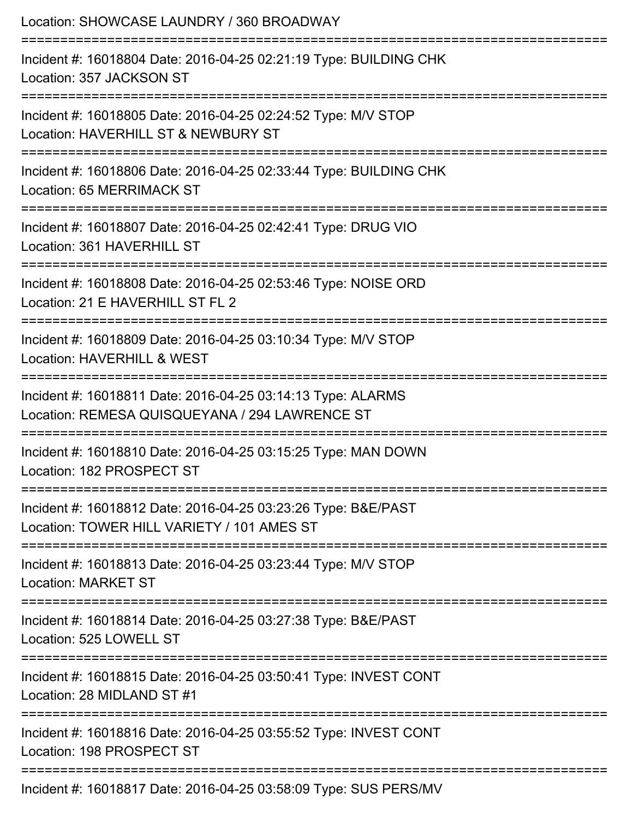| Location: SHOWCASE LAUNDRY / 360 BROADWAY                                                                                                       |
|-------------------------------------------------------------------------------------------------------------------------------------------------|
| Incident #: 16018804 Date: 2016-04-25 02:21:19 Type: BUILDING CHK<br>Location: 357 JACKSON ST                                                   |
| Incident #: 16018805 Date: 2016-04-25 02:24:52 Type: M/V STOP<br>Location: HAVERHILL ST & NEWBURY ST                                            |
| Incident #: 16018806 Date: 2016-04-25 02:33:44 Type: BUILDING CHK<br>Location: 65 MERRIMACK ST                                                  |
| Incident #: 16018807 Date: 2016-04-25 02:42:41 Type: DRUG VIO<br>Location: 361 HAVERHILL ST                                                     |
| Incident #: 16018808 Date: 2016-04-25 02:53:46 Type: NOISE ORD<br>Location: 21 E HAVERHILL ST FL 2                                              |
| ===================<br>Incident #: 16018809 Date: 2016-04-25 03:10:34 Type: M/V STOP<br>Location: HAVERHILL & WEST                              |
| Incident #: 16018811 Date: 2016-04-25 03:14:13 Type: ALARMS<br>Location: REMESA QUISQUEYANA / 294 LAWRENCE ST                                   |
| Incident #: 16018810 Date: 2016-04-25 03:15:25 Type: MAN DOWN<br>Location: 182 PROSPECT ST                                                      |
| ================================<br>Incident #: 16018812 Date: 2016-04-25 03:23:26 Type: B&E/PAST<br>Location: TOWER HILL VARIETY / 101 AMES ST |
| Incident #: 16018813 Date: 2016-04-25 03:23:44 Type: M/V STOP<br><b>Location: MARKET ST</b>                                                     |
| Incident #: 16018814 Date: 2016-04-25 03:27:38 Type: B&E/PAST<br>Location: 525 LOWELL ST                                                        |
| Incident #: 16018815 Date: 2016-04-25 03:50:41 Type: INVEST CONT<br>Location: 28 MIDLAND ST #1                                                  |
| Incident #: 16018816 Date: 2016-04-25 03:55:52 Type: INVEST CONT<br>Location: 198 PROSPECT ST                                                   |
| Incident #: 16018817 Date: 2016-04-25 03:58:09 Type: SUS PERS/MV                                                                                |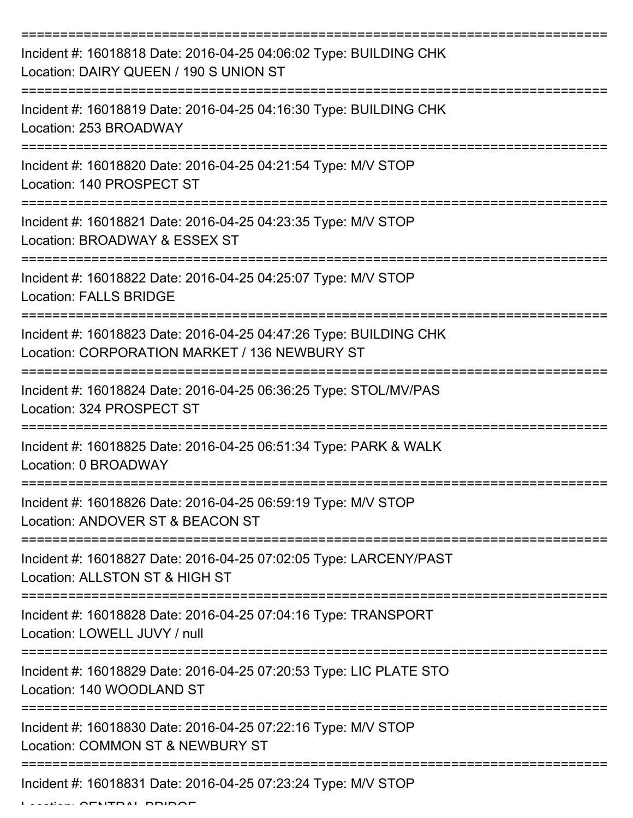| Incident #: 16018818 Date: 2016-04-25 04:06:02 Type: BUILDING CHK<br>Location: DAIRY QUEEN / 190 S UNION ST                               |
|-------------------------------------------------------------------------------------------------------------------------------------------|
| Incident #: 16018819 Date: 2016-04-25 04:16:30 Type: BUILDING CHK<br>Location: 253 BROADWAY                                               |
| Incident #: 16018820 Date: 2016-04-25 04:21:54 Type: M/V STOP<br>Location: 140 PROSPECT ST<br>================================            |
| Incident #: 16018821 Date: 2016-04-25 04:23:35 Type: M/V STOP<br>Location: BROADWAY & ESSEX ST                                            |
| Incident #: 16018822 Date: 2016-04-25 04:25:07 Type: M/V STOP<br><b>Location: FALLS BRIDGE</b><br>============                            |
| Incident #: 16018823 Date: 2016-04-25 04:47:26 Type: BUILDING CHK<br>Location: CORPORATION MARKET / 136 NEWBURY ST<br>.------------------ |
| Incident #: 16018824 Date: 2016-04-25 06:36:25 Type: STOL/MV/PAS<br>Location: 324 PROSPECT ST                                             |
| Incident #: 16018825 Date: 2016-04-25 06:51:34 Type: PARK & WALK<br>Location: 0 BROADWAY                                                  |
| Incident #: 16018826 Date: 2016-04-25 06:59:19 Type: M/V STOP<br>Location: ANDOVER ST & BEACON ST                                         |
| Incident #: 16018827 Date: 2016-04-25 07:02:05 Type: LARCENY/PAST<br>Location: ALLSTON ST & HIGH ST                                       |
| Incident #: 16018828 Date: 2016-04-25 07:04:16 Type: TRANSPORT<br>Location: LOWELL JUVY / null                                            |
| Incident #: 16018829 Date: 2016-04-25 07:20:53 Type: LIC PLATE STO<br>Location: 140 WOODLAND ST                                           |
| Incident #: 16018830 Date: 2016-04-25 07:22:16 Type: M/V STOP<br>Location: COMMON ST & NEWBURY ST                                         |
| Incident #: 16018831 Date: 2016-04-25 07:23:24 Type: M/V STOP                                                                             |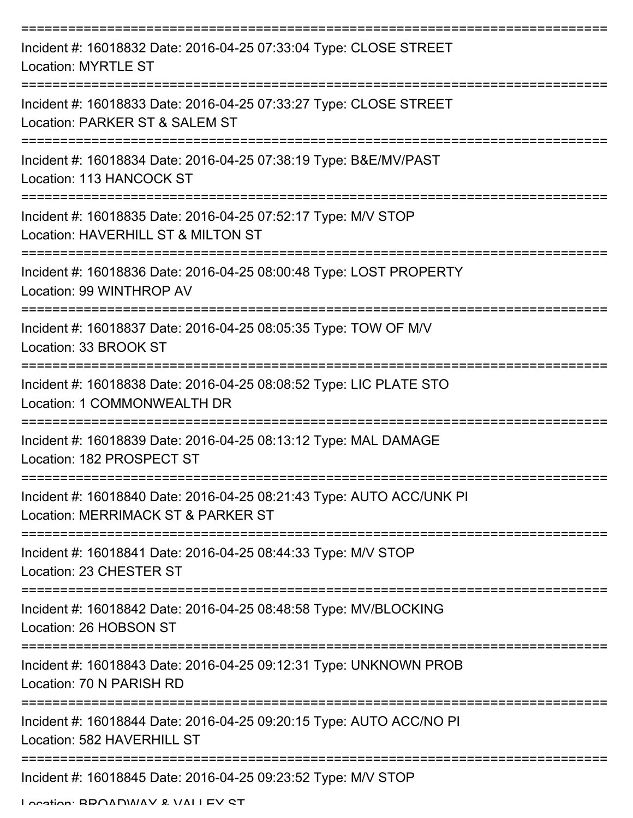| Incident #: 16018832 Date: 2016-04-25 07:33:04 Type: CLOSE STREET<br><b>Location: MYRTLE ST</b>            |
|------------------------------------------------------------------------------------------------------------|
| Incident #: 16018833 Date: 2016-04-25 07:33:27 Type: CLOSE STREET<br>Location: PARKER ST & SALEM ST        |
| Incident #: 16018834 Date: 2016-04-25 07:38:19 Type: B&E/MV/PAST<br>Location: 113 HANCOCK ST               |
| Incident #: 16018835 Date: 2016-04-25 07:52:17 Type: M/V STOP<br>Location: HAVERHILL ST & MILTON ST        |
| Incident #: 16018836 Date: 2016-04-25 08:00:48 Type: LOST PROPERTY<br>Location: 99 WINTHROP AV             |
| Incident #: 16018837 Date: 2016-04-25 08:05:35 Type: TOW OF M/V<br>Location: 33 BROOK ST                   |
| Incident #: 16018838 Date: 2016-04-25 08:08:52 Type: LIC PLATE STO<br>Location: 1 COMMONWEALTH DR          |
| Incident #: 16018839 Date: 2016-04-25 08:13:12 Type: MAL DAMAGE<br>Location: 182 PROSPECT ST               |
| Incident #: 16018840 Date: 2016-04-25 08:21:43 Type: AUTO ACC/UNK PI<br>Location: MERRIMACK ST & PARKER ST |
| Incident #: 16018841 Date: 2016-04-25 08:44:33 Type: M/V STOP<br>Location: 23 CHESTER ST                   |
| Incident #: 16018842 Date: 2016-04-25 08:48:58 Type: MV/BLOCKING<br>Location: 26 HOBSON ST                 |
| Incident #: 16018843 Date: 2016-04-25 09:12:31 Type: UNKNOWN PROB<br>Location: 70 N PARISH RD              |
| Incident #: 16018844 Date: 2016-04-25 09:20:15 Type: AUTO ACC/NO PI<br>Location: 582 HAVERHILL ST          |
| Incident #: 16018845 Date: 2016-04-25 09:23:52 Type: M/V STOP                                              |

Location: BDOADWAY & VALLEY ST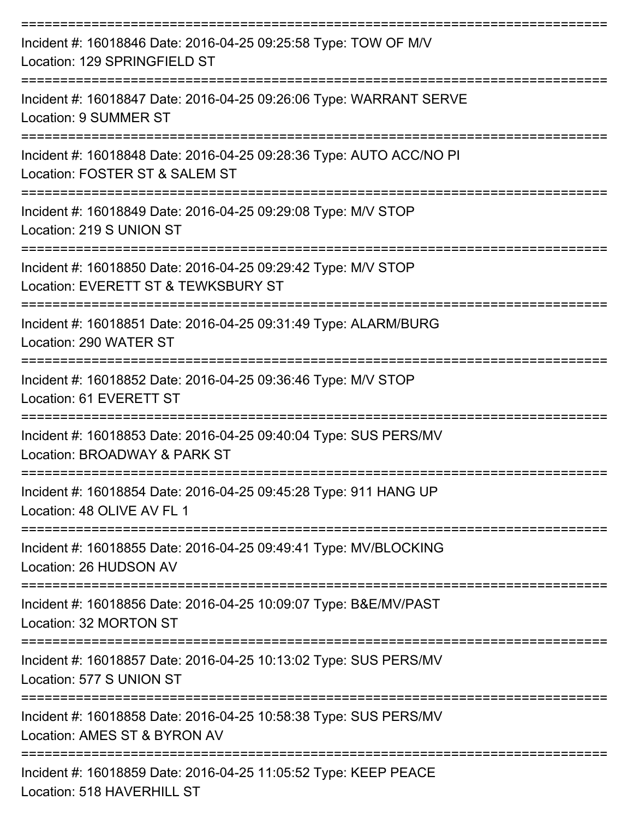| Incident #: 16018846 Date: 2016-04-25 09:25:58 Type: TOW OF M/V<br>Location: 129 SPRINGFIELD ST                |
|----------------------------------------------------------------------------------------------------------------|
| Incident #: 16018847 Date: 2016-04-25 09:26:06 Type: WARRANT SERVE<br>Location: 9 SUMMER ST                    |
| Incident #: 16018848 Date: 2016-04-25 09:28:36 Type: AUTO ACC/NO PI<br>Location: FOSTER ST & SALEM ST          |
| Incident #: 16018849 Date: 2016-04-25 09:29:08 Type: M/V STOP<br>Location: 219 S UNION ST                      |
| Incident #: 16018850 Date: 2016-04-25 09:29:42 Type: M/V STOP<br>Location: EVERETT ST & TEWKSBURY ST           |
| Incident #: 16018851 Date: 2016-04-25 09:31:49 Type: ALARM/BURG<br>Location: 290 WATER ST                      |
| Incident #: 16018852 Date: 2016-04-25 09:36:46 Type: M/V STOP<br>Location: 61 EVERETT ST                       |
| Incident #: 16018853 Date: 2016-04-25 09:40:04 Type: SUS PERS/MV<br>Location: BROADWAY & PARK ST               |
| Incident #: 16018854 Date: 2016-04-25 09:45:28 Type: 911 HANG UP<br>Location: 48 OLIVE AV FL 1                 |
| Incident #: 16018855 Date: 2016-04-25 09:49:41 Type: MV/BLOCKING<br>Location: 26 HUDSON AV                     |
| Incident #: 16018856 Date: 2016-04-25 10:09:07 Type: B&E/MV/PAST<br>Location: 32 MORTON ST                     |
| Incident #: 16018857 Date: 2016-04-25 10:13:02 Type: SUS PERS/MV<br>Location: 577 S UNION ST                   |
| Incident #: 16018858 Date: 2016-04-25 10:58:38 Type: SUS PERS/MV<br>Location: AMES ST & BYRON AV               |
| Incident #: 16018859 Date: 2016-04-25 11:05:52 Type: KEEP PEACE<br>$L$ and $L$ $(0,1)$ $(1,0)$ $(0,1)$ $(0,1)$ |

Location: 518 HAVERHILL ST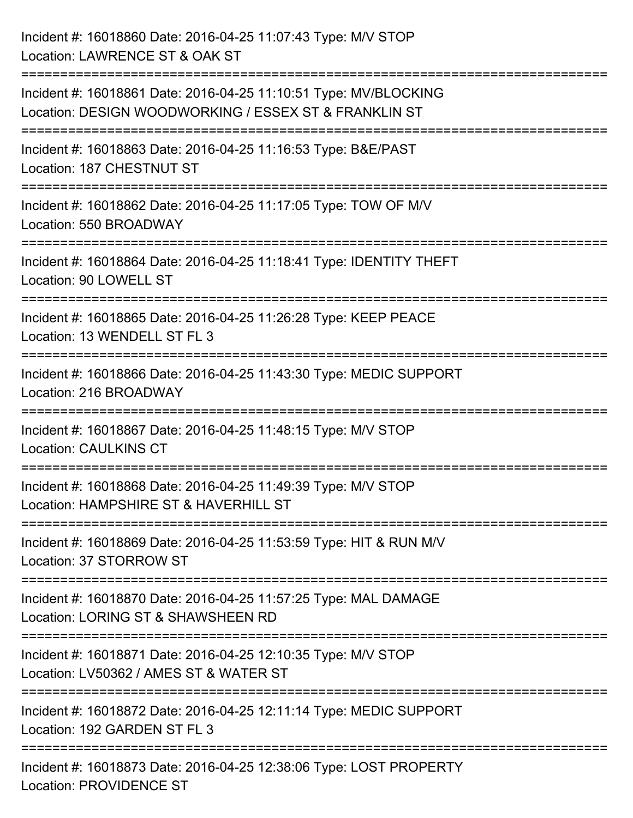| Incident #: 16018860 Date: 2016-04-25 11:07:43 Type: M/V STOP<br>Location: LAWRENCE ST & OAK ST                                 |
|---------------------------------------------------------------------------------------------------------------------------------|
| Incident #: 16018861 Date: 2016-04-25 11:10:51 Type: MV/BLOCKING<br>Location: DESIGN WOODWORKING / ESSEX ST & FRANKLIN ST       |
| =================================<br>Incident #: 16018863 Date: 2016-04-25 11:16:53 Type: B&E/PAST<br>Location: 187 CHESTNUT ST |
| Incident #: 16018862 Date: 2016-04-25 11:17:05 Type: TOW OF M/V<br>Location: 550 BROADWAY                                       |
| Incident #: 16018864 Date: 2016-04-25 11:18:41 Type: IDENTITY THEFT<br>Location: 90 LOWELL ST                                   |
| Incident #: 16018865 Date: 2016-04-25 11:26:28 Type: KEEP PEACE<br>Location: 13 WENDELL ST FL 3                                 |
| Incident #: 16018866 Date: 2016-04-25 11:43:30 Type: MEDIC SUPPORT<br>Location: 216 BROADWAY                                    |
| Incident #: 16018867 Date: 2016-04-25 11:48:15 Type: M/V STOP<br><b>Location: CAULKINS CT</b>                                   |
| Incident #: 16018868 Date: 2016-04-25 11:49:39 Type: M/V STOP<br>Location: HAMPSHIRE ST & HAVERHILL ST                          |
| Incident #: 16018869 Date: 2016-04-25 11:53:59 Type: HIT & RUN M/V<br>Location: 37 STORROW ST                                   |
| Incident #: 16018870 Date: 2016-04-25 11:57:25 Type: MAL DAMAGE<br>Location: LORING ST & SHAWSHEEN RD                           |
| Incident #: 16018871 Date: 2016-04-25 12:10:35 Type: M/V STOP<br>Location: LV50362 / AMES ST & WATER ST                         |
| Incident #: 16018872 Date: 2016-04-25 12:11:14 Type: MEDIC SUPPORT<br>Location: 192 GARDEN ST FL 3                              |
| Incident #: 16018873 Date: 2016-04-25 12:38:06 Type: LOST PROPERTY<br><b>Location: PROVIDENCE ST</b>                            |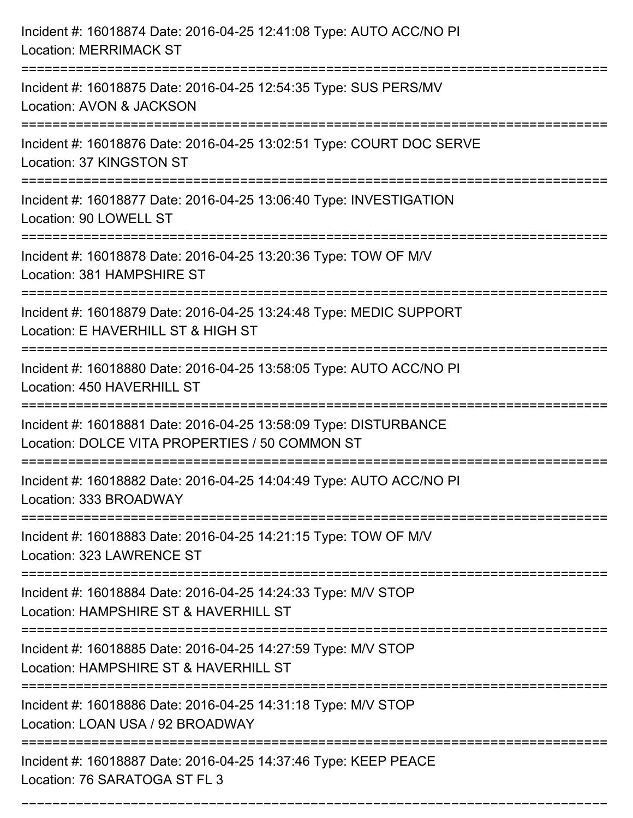| Incident #: 16018874 Date: 2016-04-25 12:41:08 Type: AUTO ACC/NO PI<br><b>Location: MERRIMACK ST</b>                                |
|-------------------------------------------------------------------------------------------------------------------------------------|
| Incident #: 16018875 Date: 2016-04-25 12:54:35 Type: SUS PERS/MV<br>Location: AVON & JACKSON                                        |
| Incident #: 16018876 Date: 2016-04-25 13:02:51 Type: COURT DOC SERVE<br>Location: 37 KINGSTON ST                                    |
| Incident #: 16018877 Date: 2016-04-25 13:06:40 Type: INVESTIGATION<br>Location: 90 LOWELL ST                                        |
| Incident #: 16018878 Date: 2016-04-25 13:20:36 Type: TOW OF M/V<br>Location: 381 HAMPSHIRE ST<br>================================== |
| Incident #: 16018879 Date: 2016-04-25 13:24:48 Type: MEDIC SUPPORT<br>Location: E HAVERHILL ST & HIGH ST                            |
| Incident #: 16018880 Date: 2016-04-25 13:58:05 Type: AUTO ACC/NO PI<br>Location: 450 HAVERHILL ST                                   |
| Incident #: 16018881 Date: 2016-04-25 13:58:09 Type: DISTURBANCE<br>Location: DOLCE VITA PROPERTIES / 50 COMMON ST                  |
| Incident #: 16018882 Date: 2016-04-25 14:04:49 Type: AUTO ACC/NO PI<br>Location: 333 BROADWAY<br>=======================            |
| Incident #: 16018883 Date: 2016-04-25 14:21:15 Type: TOW OF M/V<br>Location: 323 LAWRENCE ST                                        |
| Incident #: 16018884 Date: 2016-04-25 14:24:33 Type: M/V STOP<br>Location: HAMPSHIRE ST & HAVERHILL ST                              |
| Incident #: 16018885 Date: 2016-04-25 14:27:59 Type: M/V STOP<br>Location: HAMPSHIRE ST & HAVERHILL ST                              |
| Incident #: 16018886 Date: 2016-04-25 14:31:18 Type: M/V STOP<br>Location: LOAN USA / 92 BROADWAY                                   |
| Incident #: 16018887 Date: 2016-04-25 14:37:46 Type: KEEP PEACE<br>Location: 76 SARATOGA ST FL 3                                    |

===========================================================================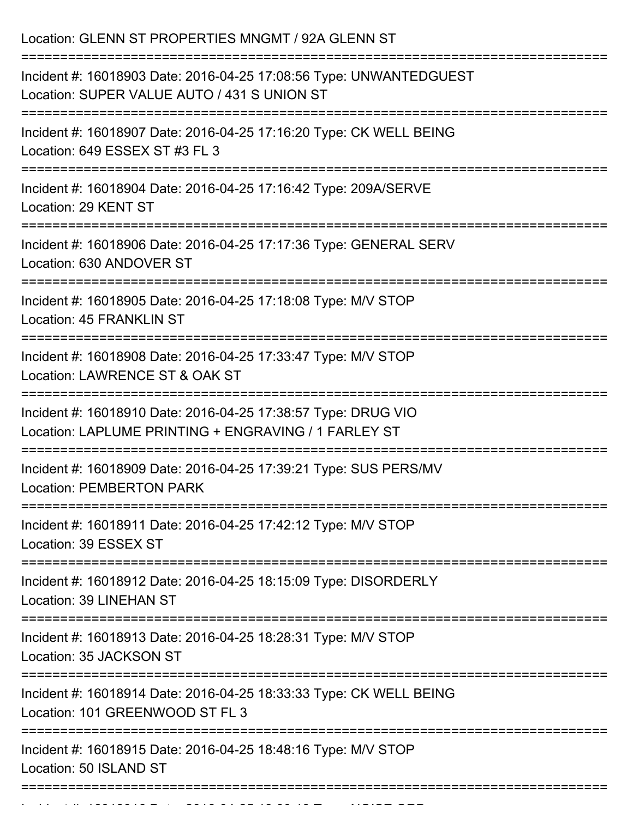| Location: GLENN ST PROPERTIES MNGMT / 92A GLENN ST                                                                    |
|-----------------------------------------------------------------------------------------------------------------------|
| Incident #: 16018903 Date: 2016-04-25 17:08:56 Type: UNWANTEDGUEST<br>Location: SUPER VALUE AUTO / 431 S UNION ST     |
| Incident #: 16018907 Date: 2016-04-25 17:16:20 Type: CK WELL BEING<br>Location: 649 ESSEX ST #3 FL 3                  |
| Incident #: 16018904 Date: 2016-04-25 17:16:42 Type: 209A/SERVE<br>Location: 29 KENT ST                               |
| Incident #: 16018906 Date: 2016-04-25 17:17:36 Type: GENERAL SERV<br>Location: 630 ANDOVER ST                         |
| Incident #: 16018905 Date: 2016-04-25 17:18:08 Type: M/V STOP<br><b>Location: 45 FRANKLIN ST</b>                      |
| Incident #: 16018908 Date: 2016-04-25 17:33:47 Type: M/V STOP<br>Location: LAWRENCE ST & OAK ST                       |
| Incident #: 16018910 Date: 2016-04-25 17:38:57 Type: DRUG VIO<br>Location: LAPLUME PRINTING + ENGRAVING / 1 FARLEY ST |
| Incident #: 16018909 Date: 2016-04-25 17:39:21 Type: SUS PERS/MV<br><b>Location: PEMBERTON PARK</b>                   |
| Incident #: 16018911 Date: 2016-04-25 17:42:12 Type: M/V STOP<br>Location: 39 ESSEX ST                                |
| Incident #: 16018912 Date: 2016-04-25 18:15:09 Type: DISORDERLY<br><b>Location: 39 LINEHAN ST</b>                     |
| Incident #: 16018913 Date: 2016-04-25 18:28:31 Type: M/V STOP<br>Location: 35 JACKSON ST                              |
| Incident #: 16018914 Date: 2016-04-25 18:33:33 Type: CK WELL BEING<br>Location: 101 GREENWOOD ST FL 3                 |
| Incident #: 16018915 Date: 2016-04-25 18:48:16 Type: M/V STOP<br>Location: 50 ISLAND ST                               |
|                                                                                                                       |

Incident #: 16018916 Date: 2016 04 25 19:00:13 Type: NOISE ORD<br>.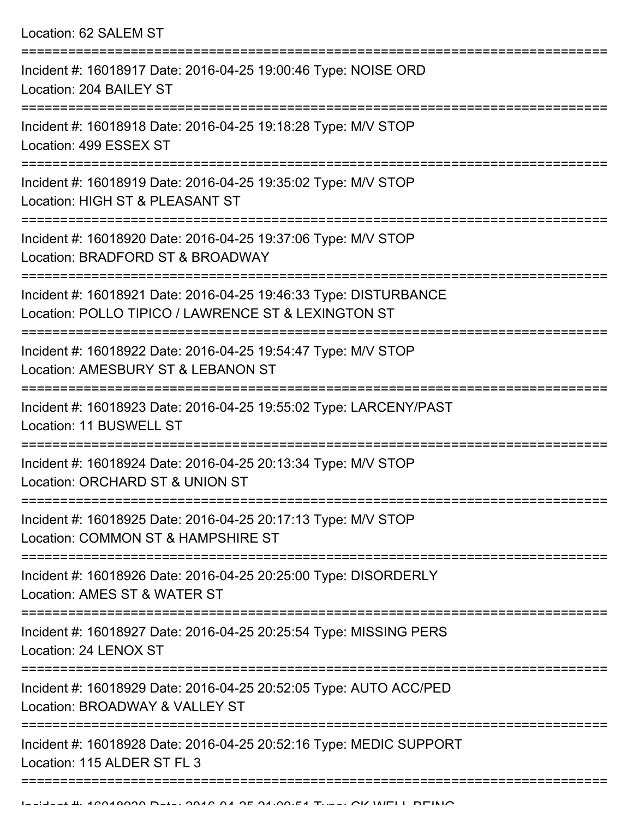| Location: 62 SALEM ST                                                                                                       |
|-----------------------------------------------------------------------------------------------------------------------------|
| Incident #: 16018917 Date: 2016-04-25 19:00:46 Type: NOISE ORD<br>Location: 204 BAILEY ST                                   |
| Incident #: 16018918 Date: 2016-04-25 19:18:28 Type: M/V STOP<br>Location: 499 ESSEX ST<br>-------------------------------  |
| Incident #: 16018919 Date: 2016-04-25 19:35:02 Type: M/V STOP<br>Location: HIGH ST & PLEASANT ST                            |
| Incident #: 16018920 Date: 2016-04-25 19:37:06 Type: M/V STOP<br>Location: BRADFORD ST & BROADWAY<br>:===================== |
| Incident #: 16018921 Date: 2016-04-25 19:46:33 Type: DISTURBANCE<br>Location: POLLO TIPICO / LAWRENCE ST & LEXINGTON ST     |
| Incident #: 16018922 Date: 2016-04-25 19:54:47 Type: M/V STOP<br>Location: AMESBURY ST & LEBANON ST                         |
| Incident #: 16018923 Date: 2016-04-25 19:55:02 Type: LARCENY/PAST<br>Location: 11 BUSWELL ST                                |
| Incident #: 16018924 Date: 2016-04-25 20:13:34 Type: M/V STOP<br>Location: ORCHARD ST & UNION ST                            |
| Incident #: 16018925 Date: 2016-04-25 20:17:13 Type: M/V STOP<br>Location: COMMON ST & HAMPSHIRE ST                         |
| Incident #: 16018926 Date: 2016-04-25 20:25:00 Type: DISORDERLY<br>Location: AMES ST & WATER ST                             |
| Incident #: 16018927 Date: 2016-04-25 20:25:54 Type: MISSING PERS<br>Location: 24 LENOX ST                                  |
| Incident #: 16018929 Date: 2016-04-25 20:52:05 Type: AUTO ACC/PED<br>Location: BROADWAY & VALLEY ST                         |
| Incident #: 16018928 Date: 2016-04-25 20:52:16 Type: MEDIC SUPPORT<br>Location: 115 ALDER ST FL 3                           |
|                                                                                                                             |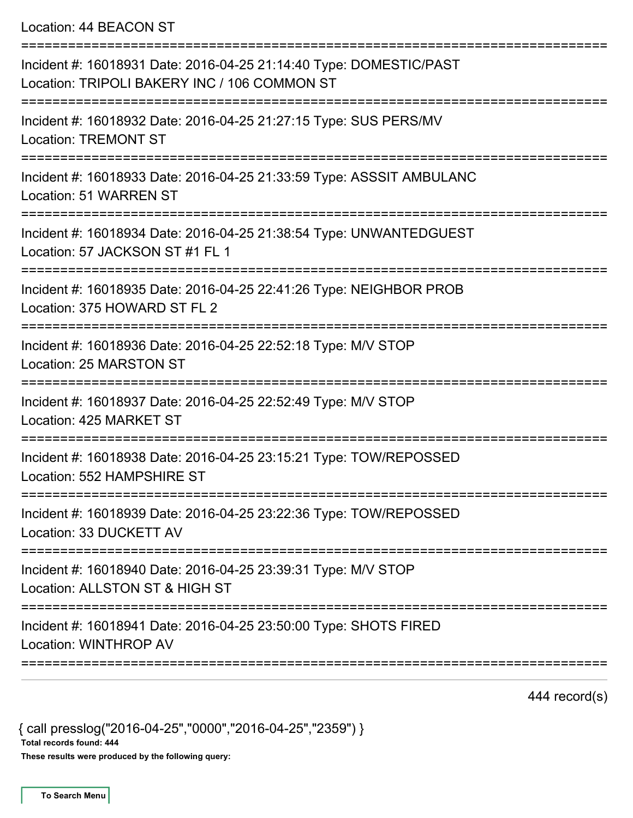Location: 44 BEACON ST

| Incident #: 16018931 Date: 2016-04-25 21:14:40 Type: DOMESTIC/PAST<br>Location: TRIPOLI BAKERY INC / 106 COMMON ST |
|--------------------------------------------------------------------------------------------------------------------|
| Incident #: 16018932 Date: 2016-04-25 21:27:15 Type: SUS PERS/MV<br><b>Location: TREMONT ST</b>                    |
| Incident #: 16018933 Date: 2016-04-25 21:33:59 Type: ASSSIT AMBULANC<br>Location: 51 WARREN ST                     |
| Incident #: 16018934 Date: 2016-04-25 21:38:54 Type: UNWANTEDGUEST<br>Location: 57 JACKSON ST #1 FL 1              |
| Incident #: 16018935 Date: 2016-04-25 22:41:26 Type: NEIGHBOR PROB<br>Location: 375 HOWARD ST FL 2                 |
| Incident #: 16018936 Date: 2016-04-25 22:52:18 Type: M/V STOP<br>Location: 25 MARSTON ST                           |
| Incident #: 16018937 Date: 2016-04-25 22:52:49 Type: M/V STOP<br>Location: 425 MARKET ST                           |
| Incident #: 16018938 Date: 2016-04-25 23:15:21 Type: TOW/REPOSSED<br>Location: 552 HAMPSHIRE ST                    |
| Incident #: 16018939 Date: 2016-04-25 23:22:36 Type: TOW/REPOSSED<br>Location: 33 DUCKETT AV                       |
| Incident #: 16018940 Date: 2016-04-25 23:39:31 Type: M/V STOP<br>Location: ALLSTON ST & HIGH ST                    |
| Incident #: 16018941 Date: 2016-04-25 23:50:00 Type: SHOTS FIRED<br>Location: WINTHROP AV                          |
|                                                                                                                    |

444 record(s)

{ call presslog("2016-04-25","0000","2016-04-25","2359") } Total records found: 444

These results were produced by the following query: